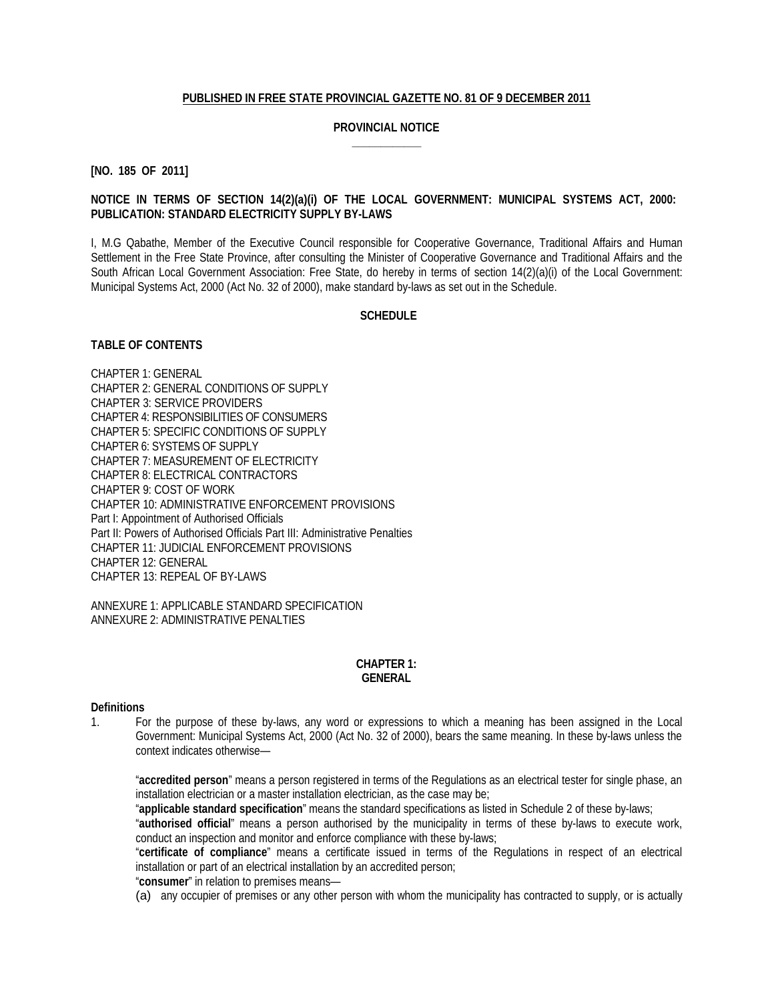#### **PUBLISHED IN FREE STATE PROVINCIAL GAZETTE NO. 81 OF 9 DECEMBER 2011**

#### **PROVINCIAL NOTICE \_\_\_\_\_\_\_\_\_\_\_\_**

**[NO. 185 OF 2011]**

#### **NOTICE IN TERMS OF SECTION 14(2)(a)(i) OF THE LOCAL GOVERNMENT: MUNICIPAL SYSTEMS ACT, 2000: PUBLICATION: STANDARD ELECTRICITY SUPPLY BY-LAWS**

I, M.G Qabathe, Member of the Executive Council responsible for Cooperative Governance, Traditional Affairs and Human Settlement in the Free State Province, after consulting the Minister of Cooperative Governance and Traditional Affairs and the South African Local Government Association: Free State, do hereby in terms of section 14(2)(a)(i) of the Local Government: Municipal Systems Act, 2000 (Act No. 32 of 2000), make standard by-laws as set out in the Schedule.

#### **SCHEDULE**

#### **TABLE OF CONTENTS**

CHAPTER 1: GENERAL CHAPTER 2: GENERAL CONDITIONS OF SUPPLY CHAPTER 3: SERVICE PROVIDERS CHAPTER 4: RESPONSIBILITIES OF CONSUMERS CHAPTER 5: SPECIFIC CONDITIONS OF SUPPLY CHAPTER 6: SYSTEMS OF SUPPLY CHAPTER 7: MEASUREMENT OF ELECTRICITY CHAPTER 8: ELECTRICAL CONTRACTORS CHAPTER 9: COST OF WORK CHAPTER 10: ADMINISTRATIVE ENFORCEMENT PROVISIONS Part I: Appointment of Authorised Officials Part II: Powers of Authorised Officials Part III: Administrative Penalties CHAPTER 11: JUDICIAL ENFORCEMENT PROVISIONS CHAPTER 12: GENERAL CHAPTER 13: REPEAL OF BY-LAWS

ANNEXURE 1: APPLICABLE STANDARD SPECIFICATION ANNEXURE 2: ADMINISTRATIVE PENALTIES

#### **CHAPTER 1: GENERAL**

#### **Definitions**

1. For the purpose of these by-laws, any word or expressions to which a meaning has been assigned in the Local Government: Municipal Systems Act, 2000 (Act No. 32 of 2000), bears the same meaning. In these by-laws unless the context indicates otherwise—

"**accredited person**" means a person registered in terms of the Regulations as an electrical tester for single phase, an installation electrician or a master installation electrician, as the case may be;

"**applicable standard specification**" means the standard specifications as listed in Schedule 2 of these by-laws;

"**authorised official**" means a person authorised by the municipality in terms of these by-laws to execute work, conduct an inspection and monitor and enforce compliance with these by-laws;

"**certificate of compliance**" means a certificate issued in terms of the Regulations in respect of an electrical installation or part of an electrical installation by an accredited person;

"**consumer**" in relation to premises means—

(a) any occupier of premises or any other person with whom the municipality has contracted to supply, or is actually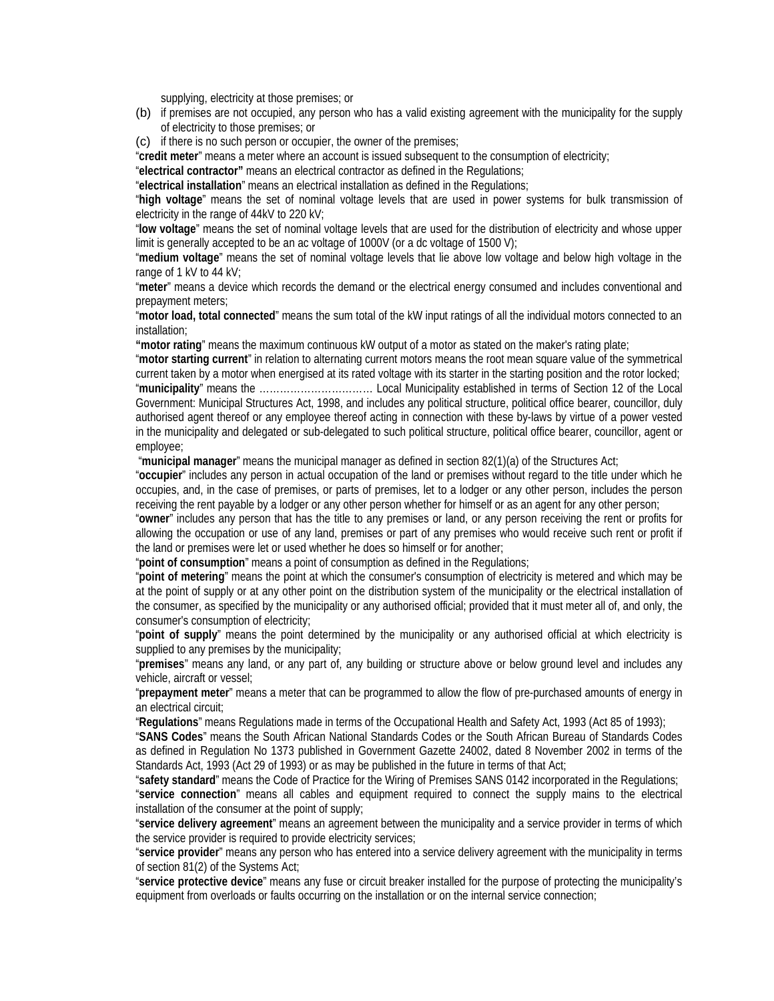supplying, electricity at those premises; or

- (b) if premises are not occupied, any person who has a valid existing agreement with the municipality for the supply of electricity to those premises; or
- (c) if there is no such person or occupier, the owner of the premises;

"**credit meter**" means a meter where an account is issued subsequent to the consumption of electricity;

"**electrical contractor"** means an electrical contractor as defined in the Regulations;

"**electrical installation**" means an electrical installation as defined in the Regulations;

"**high voltage**" means the set of nominal voltage levels that are used in power systems for bulk transmission of electricity in the range of 44kV to 220 kV;

"**low voltage**" means the set of nominal voltage levels that are used for the distribution of electricity and whose upper limit is generally accepted to be an ac voltage of 1000V (or a dc voltage of 1500 V);

"**medium voltage**" means the set of nominal voltage levels that lie above low voltage and below high voltage in the range of 1 kV to 44 kV;

"**meter**" means a device which records the demand or the electrical energy consumed and includes conventional and prepayment meters;

"**motor load, total connected**" means the sum total of the kW input ratings of all the individual motors connected to an installation;

**"motor rating**" means the maximum continuous kW output of a motor as stated on the maker's rating plate;

"**motor starting current**" in relation to alternating current motors means the root mean square value of the symmetrical current taken by a motor when energised at its rated voltage with its starter in the starting position and the rotor locked; "**municipality**" means the …………………………… Local Municipality established in terms of Section 12 of the Local Government: Municipal Structures Act, 1998, and includes any political structure, political office bearer, councillor, duly authorised agent thereof or any employee thereof acting in connection with these by-laws by virtue of a power vested

in the municipality and delegated or sub-delegated to such political structure, political office bearer, councillor, agent or employee;

"**municipal manager**" means the municipal manager as defined in section 82(1)(a) of the Structures Act;

"**occupier**" includes any person in actual occupation of the land or premises without regard to the title under which he occupies, and, in the case of premises, or parts of premises, let to a lodger or any other person, includes the person receiving the rent payable by a lodger or any other person whether for himself or as an agent for any other person;

"**owner**" includes any person that has the title to any premises or land, or any person receiving the rent or profits for allowing the occupation or use of any land, premises or part of any premises who would receive such rent or profit if the land or premises were let or used whether he does so himself or for another;

"**point of consumption**" means a point of consumption as defined in the Regulations;

"**point of metering**" means the point at which the consumer's consumption of electricity is metered and which may be at the point of supply or at any other point on the distribution system of the municipality or the electrical installation of the consumer, as specified by the municipality or any authorised official; provided that it must meter all of, and only, the consumer's consumption of electricity;

"**point of supply**" means the point determined by the municipality or any authorised official at which electricity is supplied to any premises by the municipality;

"**premises**" means any land, or any part of, any building or structure above or below ground level and includes any vehicle, aircraft or vessel;

"**prepayment meter**" means a meter that can be programmed to allow the flow of pre-purchased amounts of energy in an electrical circuit;

"**Regulations**" means Regulations made in terms of the Occupational Health and Safety Act, 1993 (Act 85 of 1993);

"**SANS Codes**" means the South African National Standards Codes or the South African Bureau of Standards Codes as defined in Regulation No 1373 published in Government Gazette 24002, dated 8 November 2002 in terms of the Standards Act, 1993 (Act 29 of 1993) or as may be published in the future in terms of that Act;

"**safety standard**" means the Code of Practice for the Wiring of Premises SANS 0142 incorporated in the Regulations;

"**service connection**" means all cables and equipment required to connect the supply mains to the electrical installation of the consumer at the point of supply;

"**service delivery agreement**" means an agreement between the municipality and a service provider in terms of which the service provider is required to provide electricity services;

"**service provider**" means any person who has entered into a service delivery agreement with the municipality in terms of section 81(2) of the Systems Act;

"**service protective device**" means any fuse or circuit breaker installed for the purpose of protecting the municipality's equipment from overloads or faults occurring on the installation or on the internal service connection;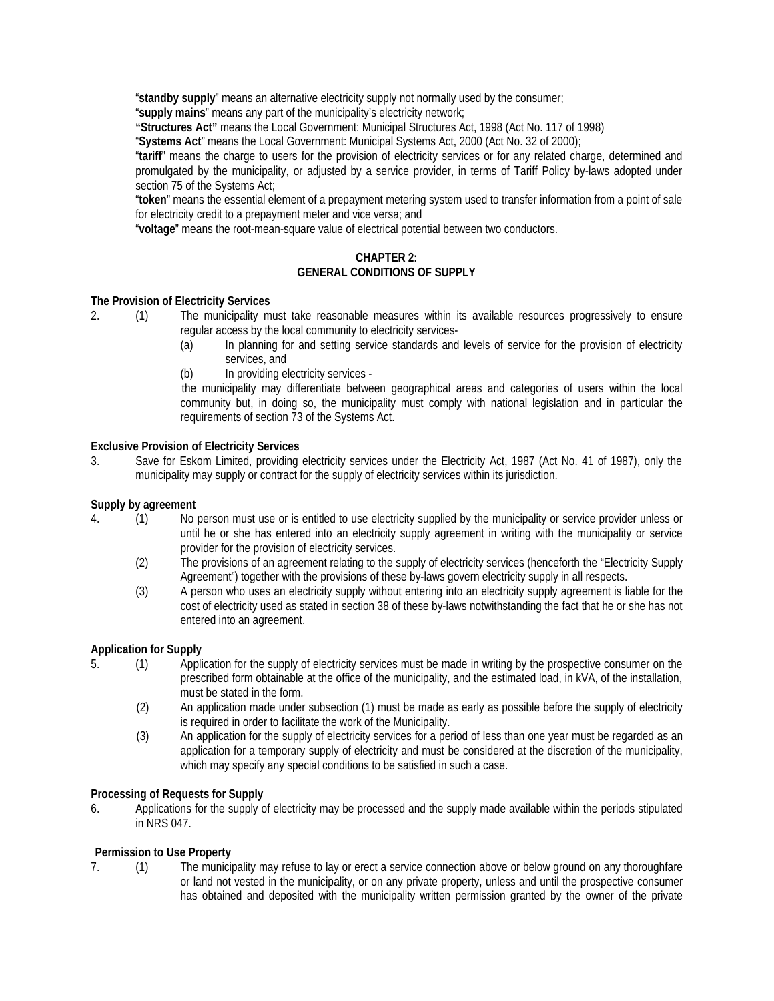"**standby supply**" means an alternative electricity supply not normally used by the consumer;

"**supply mains**" means any part of the municipality's electricity network;

**"Structures Act"** means the Local Government: Municipal Structures Act, 1998 (Act No. 117 of 1998)

"**Systems Act**" means the Local Government: Municipal Systems Act, 2000 (Act No. 32 of 2000);

"**tariff**" means the charge to users for the provision of electricity services or for any related charge, determined and promulgated by the municipality, or adjusted by a service provider, in terms of Tariff Policy by-laws adopted under section 75 of the Systems Act;

"**token**" means the essential element of a prepayment metering system used to transfer information from a point of sale for electricity credit to a prepayment meter and vice versa; and

"**voltage**" means the root-mean-square value of electrical potential between two conductors.

## **CHAPTER 2: GENERAL CONDITIONS OF SUPPLY**

## **The Provision of Electricity Services**

- 2. (1) The municipality must take reasonable measures within its available resources progressively to ensure regular access by the local community to electricity services-
	- (a) In planning for and setting service standards and levels of service for the provision of electricity services, and
	- (b) In providing electricity services -

the municipality may differentiate between geographical areas and categories of users within the local community but, in doing so, the municipality must comply with national legislation and in particular the requirements of section 73 of the Systems Act.

## **Exclusive Provision of Electricity Services**

3. Save for Eskom Limited, providing electricity services under the Electricity Act, 1987 (Act No. 41 of 1987), only the municipality may supply or contract for the supply of electricity services within its jurisdiction.

## **Supply by agreement**

- 4. (1) No person must use or is entitled to use electricity supplied by the municipality or service provider unless or until he or she has entered into an electricity supply agreement in writing with the municipality or service provider for the provision of electricity services.
	- (2) The provisions of an agreement relating to the supply of electricity services (henceforth the "Electricity Supply Agreement") together with the provisions of these by-laws govern electricity supply in all respects.
	- (3) A person who uses an electricity supply without entering into an electricity supply agreement is liable for the cost of electricity used as stated in section 38 of these by-laws notwithstanding the fact that he or she has not entered into an agreement.

#### **Application for Supply**

- 5. (1) Application for the supply of electricity services must be made in writing by the prospective consumer on the prescribed form obtainable at the office of the municipality, and the estimated load, in kVA, of the installation, must be stated in the form.
	- (2) An application made under subsection (1) must be made as early as possible before the supply of electricity is required in order to facilitate the work of the Municipality.
	- (3) An application for the supply of electricity services for a period of less than one year must be regarded as an application for a temporary supply of electricity and must be considered at the discretion of the municipality, which may specify any special conditions to be satisfied in such a case.

## **Processing of Requests for Supply**

6. Applications for the supply of electricity may be processed and the supply made available within the periods stipulated in NRS 047.

# **Permission to Use Property**

7. (1) The municipality may refuse to lay or erect a service connection above or below ground on any thoroughfare or land not vested in the municipality, or on any private property, unless and until the prospective consumer has obtained and deposited with the municipality written permission granted by the owner of the private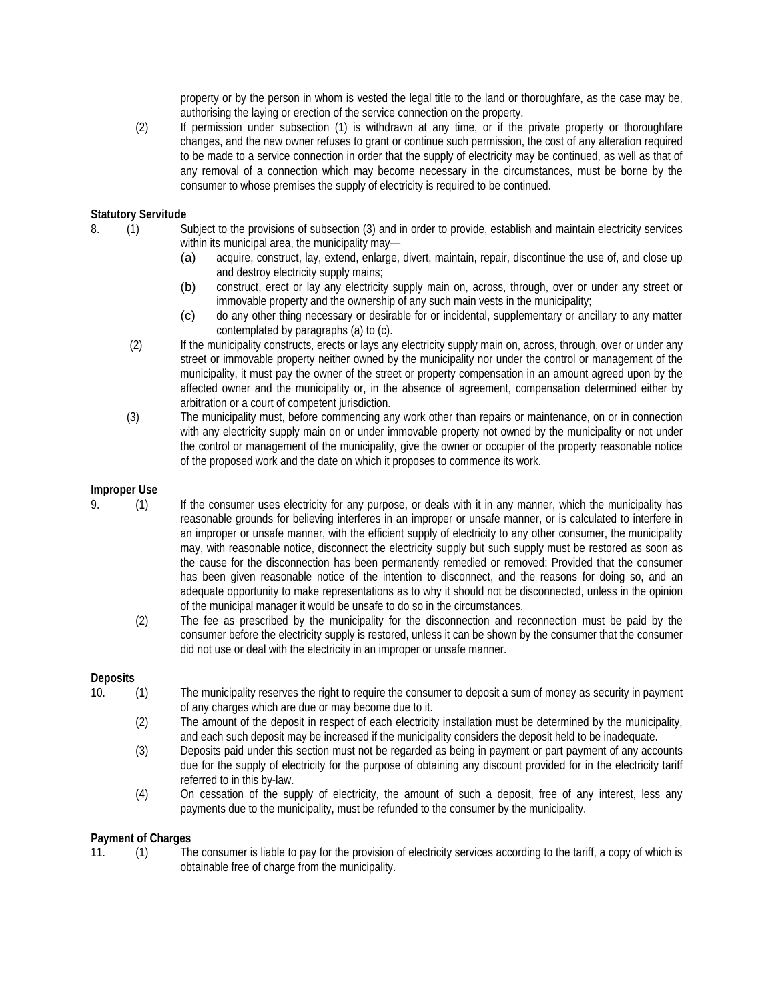property or by the person in whom is vested the legal title to the land or thoroughfare, as the case may be, authorising the laying or erection of the service connection on the property.

(2) If permission under subsection (1) is withdrawn at any time, or if the private property or thoroughfare changes, and the new owner refuses to grant or continue such permission, the cost of any alteration required to be made to a service connection in order that the supply of electricity may be continued, as well as that of any removal of a connection which may become necessary in the circumstances, must be borne by the consumer to whose premises the supply of electricity is required to be continued.

#### **Statutory Servitude**

- 
- 8. (1) Subject to the provisions of subsection (3) and in order to provide, establish and maintain electricity services within its municipal area, the municipality may—
	- (a) acquire, construct, lay, extend, enlarge, divert, maintain, repair, discontinue the use of, and close up and destroy electricity supply mains;
	- (b) construct, erect or lay any electricity supply main on, across, through, over or under any street or immovable property and the ownership of any such main vests in the municipality;
	- (c) do any other thing necessary or desirable for or incidental, supplementary or ancillary to any matter contemplated by paragraphs (a) to (c).
	- (2) If the municipality constructs, erects or lays any electricity supply main on, across, through, over or under any street or immovable property neither owned by the municipality nor under the control or management of the municipality, it must pay the owner of the street or property compensation in an amount agreed upon by the affected owner and the municipality or, in the absence of agreement, compensation determined either by arbitration or a court of competent jurisdiction.
	- (3) The municipality must, before commencing any work other than repairs or maintenance, on or in connection with any electricity supply main on or under immovable property not owned by the municipality or not under the control or management of the municipality, give the owner or occupier of the property reasonable notice of the proposed work and the date on which it proposes to commence its work.

#### **Improper Use**

- 
- 9. (1) If the consumer uses electricity for any purpose, or deals with it in any manner, which the municipality has reasonable grounds for believing interferes in an improper or unsafe manner, or is calculated to interfere in an improper or unsafe manner, with the efficient supply of electricity to any other consumer, the municipality may, with reasonable notice, disconnect the electricity supply but such supply must be restored as soon as the cause for the disconnection has been permanently remedied or removed: Provided that the consumer has been given reasonable notice of the intention to disconnect, and the reasons for doing so, and an adequate opportunity to make representations as to why it should not be disconnected, unless in the opinion of the municipal manager it would be unsafe to do so in the circumstances.
	- (2) The fee as prescribed by the municipality for the disconnection and reconnection must be paid by the consumer before the electricity supply is restored, unless it can be shown by the consumer that the consumer did not use or deal with the electricity in an improper or unsafe manner.

#### **Deposits**

- 10. (1) The municipality reserves the right to require the consumer to deposit a sum of money as security in payment of any charges which are due or may become due to it.
	- (2) The amount of the deposit in respect of each electricity installation must be determined by the municipality, and each such deposit may be increased if the municipality considers the deposit held to be inadequate.
	- (3) Deposits paid under this section must not be regarded as being in payment or part payment of any accounts due for the supply of electricity for the purpose of obtaining any discount provided for in the electricity tariff referred to in this by-law.
	- (4) On cessation of the supply of electricity, the amount of such a deposit, free of any interest, less any payments due to the municipality, must be refunded to the consumer by the municipality.

#### **Payment of Charges**

11. (1) The consumer is liable to pay for the provision of electricity services according to the tariff, a copy of which is obtainable free of charge from the municipality.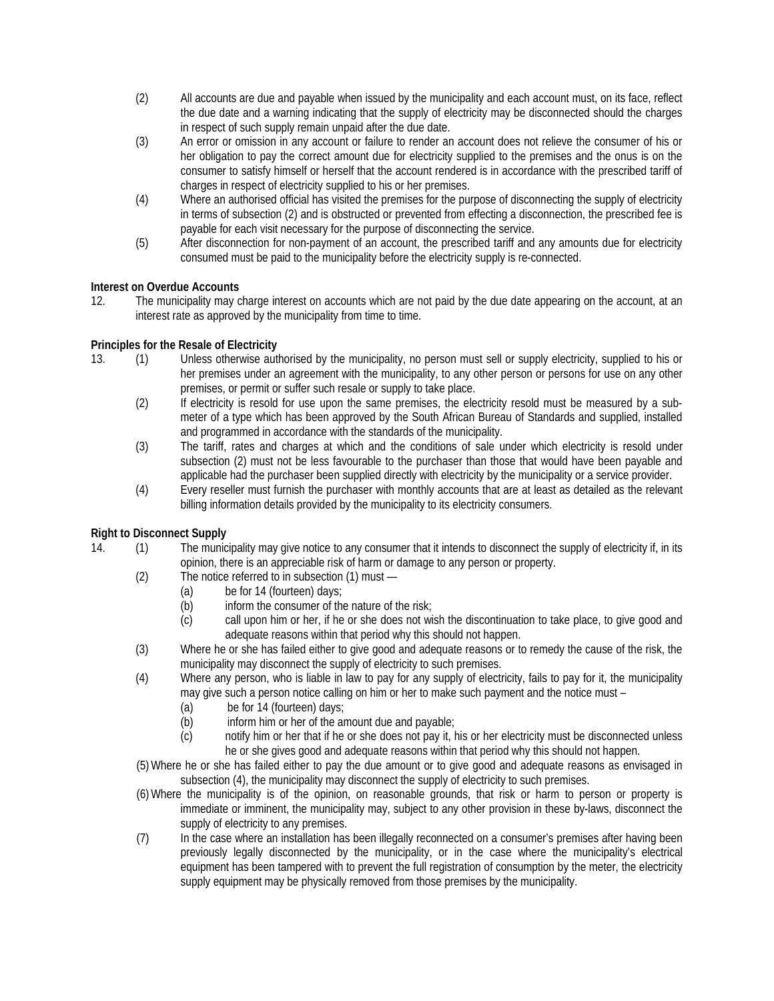- (2) All accounts are due and payable when issued by the municipality and each account must, on its face, reflect the due date and a warning indicating that the supply of electricity may be disconnected should the charges in respect of such supply remain unpaid after the due date.
- (3) An error or omission in any account or failure to render an account does not relieve the consumer of his or her obligation to pay the correct amount due for electricity supplied to the premises and the onus is on the consumer to satisfy himself or herself that the account rendered is in accordance with the prescribed tariff of charges in respect of electricity supplied to his or her premises.
- (4) Where an authorised official has visited the premises for the purpose of disconnecting the supply of electricity in terms of subsection (2) and is obstructed or prevented from effecting a disconnection, the prescribed fee is payable for each visit necessary for the purpose of disconnecting the service.
- (5) After disconnection for non-payment of an account, the prescribed tariff and any amounts due for electricity consumed must be paid to the municipality before the electricity supply is re-connected.

# **Interest on Overdue Accounts**

12. The municipality may charge interest on accounts which are not paid by the due date appearing on the account, at an interest rate as approved by the municipality from time to time.

# **Principles for the Resale of Electricity**

- 13. (1) Unless otherwise authorised by the municipality, no person must sell or supply electricity, supplied to his or her premises under an agreement with the municipality, to any other person or persons for use on any other premises, or permit or suffer such resale or supply to take place.
	- (2) If electricity is resold for use upon the same premises, the electricity resold must be measured by a submeter of a type which has been approved by the South African Bureau of Standards and supplied, installed and programmed in accordance with the standards of the municipality.
	- (3) The tariff, rates and charges at which and the conditions of sale under which electricity is resold under subsection (2) must not be less favourable to the purchaser than those that would have been payable and applicable had the purchaser been supplied directly with electricity by the municipality or a service provider.
	- (4) Every reseller must furnish the purchaser with monthly accounts that are at least as detailed as the relevant billing information details provided by the municipality to its electricity consumers.

# **Right to Disconnect Supply**

- 14. (1) The municipality may give notice to any consumer that it intends to disconnect the supply of electricity if, in its opinion, there is an appreciable risk of harm or damage to any person or property.
	- (2) The notice referred to in subsection  $(1)$  must  $-$ <br>(a) be for 14 (fourteen) days;
		- (a) be for 14 (fourteen) days;<br>(b) inform the consumer of th
		- inform the consumer of the nature of the risk;
		- (c) call upon him or her, if he or she does not wish the discontinuation to take place, to give good and adequate reasons within that period why this should not happen.
	- (3) Where he or she has failed either to give good and adequate reasons or to remedy the cause of the risk, the municipality may disconnect the supply of electricity to such premises.
	- (4) Where any person, who is liable in law to pay for any supply of electricity, fails to pay for it, the municipality may give such a person notice calling on him or her to make such payment and the notice must –
		- (a) be for 14 (fourteen) days;
		- (b) inform him or her of the amount due and payable;<br>(c) onotify him or her that if he or she does not pay it, h
		- notify him or her that if he or she does not pay it, his or her electricity must be disconnected unless he or she gives good and adequate reasons within that period why this should not happen.
	- (5)Where he or she has failed either to pay the due amount or to give good and adequate reasons as envisaged in subsection (4), the municipality may disconnect the supply of electricity to such premises.
	- (6)Where the municipality is of the opinion, on reasonable grounds, that risk or harm to person or property is immediate or imminent, the municipality may, subject to any other provision in these by-laws, disconnect the supply of electricity to any premises.
	- (7) In the case where an installation has been illegally reconnected on a consumer's premises after having been previously legally disconnected by the municipality, or in the case where the municipality's electrical equipment has been tampered with to prevent the full registration of consumption by the meter, the electricity supply equipment may be physically removed from those premises by the municipality.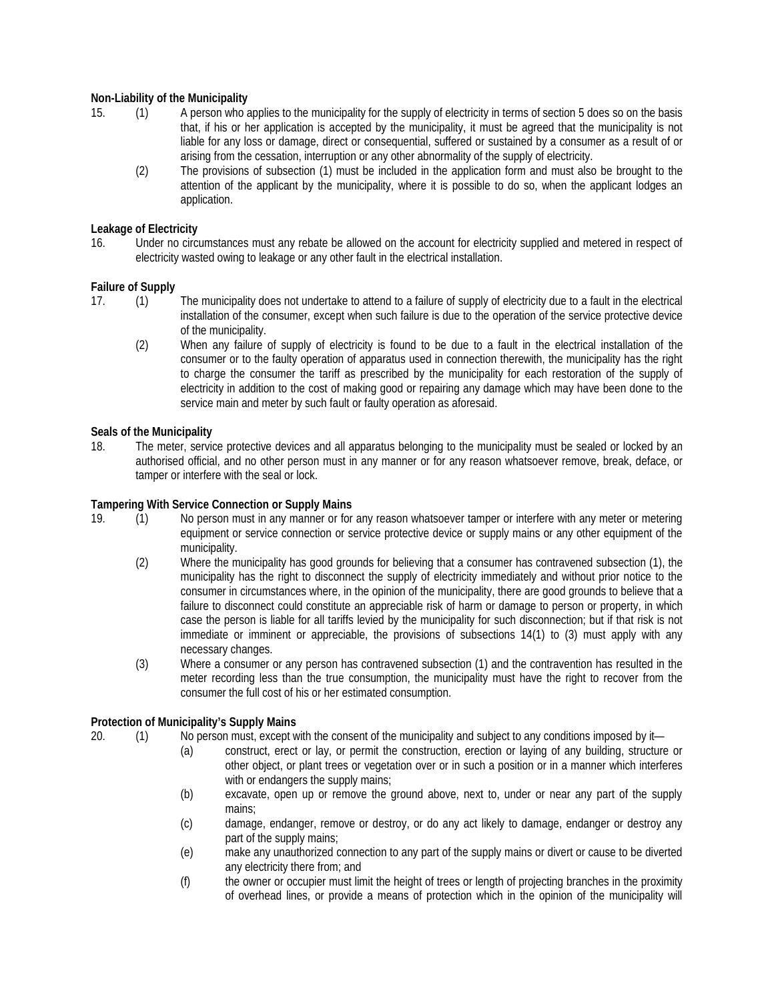## **Non-Liability of the Municipality**

- 15. (1) A person who applies to the municipality for the supply of electricity in terms of section 5 does so on the basis that, if his or her application is accepted by the municipality, it must be agreed that the municipality is not liable for any loss or damage, direct or consequential, suffered or sustained by a consumer as a result of or arising from the cessation, interruption or any other abnormality of the supply of electricity.
	- (2) The provisions of subsection (1) must be included in the application form and must also be brought to the attention of the applicant by the municipality, where it is possible to do so, when the applicant lodges an application.

## **Leakage of Electricity**

16. Under no circumstances must any rebate be allowed on the account for electricity supplied and metered in respect of electricity wasted owing to leakage or any other fault in the electrical installation.

## **Failure of Supply**

- 17. (1) The municipality does not undertake to attend to a failure of supply of electricity due to a fault in the electrical installation of the consumer, except when such failure is due to the operation of the service protective device of the municipality.
	- (2) When any failure of supply of electricity is found to be due to a fault in the electrical installation of the consumer or to the faulty operation of apparatus used in connection therewith, the municipality has the right to charge the consumer the tariff as prescribed by the municipality for each restoration of the supply of electricity in addition to the cost of making good or repairing any damage which may have been done to the service main and meter by such fault or faulty operation as aforesaid.

## **Seals of the Municipality**

18. The meter, service protective devices and all apparatus belonging to the municipality must be sealed or locked by an authorised official, and no other person must in any manner or for any reason whatsoever remove, break, deface, or tamper or interfere with the seal or lock.

#### **Tampering With Service Connection or Supply Mains**

- 19. (1) No person must in any manner or for any reason whatsoever tamper or interfere with any meter or metering equipment or service connection or service protective device or supply mains or any other equipment of the municipality.
	- (2) Where the municipality has good grounds for believing that a consumer has contravened subsection (1), the municipality has the right to disconnect the supply of electricity immediately and without prior notice to the consumer in circumstances where, in the opinion of the municipality, there are good grounds to believe that a failure to disconnect could constitute an appreciable risk of harm or damage to person or property, in which case the person is liable for all tariffs levied by the municipality for such disconnection; but if that risk is not immediate or imminent or appreciable, the provisions of subsections 14(1) to (3) must apply with any necessary changes.
	- (3) Where a consumer or any person has contravened subsection (1) and the contravention has resulted in the meter recording less than the true consumption, the municipality must have the right to recover from the consumer the full cost of his or her estimated consumption.

# **Protection of Municipality's Supply Mains**

- 20. (1) No person must, except with the consent of the municipality and subject to any conditions imposed by it—
	- (a) construct, erect or lay, or permit the construction, erection or laying of any building, structure or other object, or plant trees or vegetation over or in such a position or in a manner which interferes with or endangers the supply mains;
	- (b) excavate, open up or remove the ground above, next to, under or near any part of the supply mains;
	- (c) damage, endanger, remove or destroy, or do any act likely to damage, endanger or destroy any part of the supply mains;
	- (e) make any unauthorized connection to any part of the supply mains or divert or cause to be diverted any electricity there from; and
	- (f) the owner or occupier must limit the height of trees or length of projecting branches in the proximity of overhead lines, or provide a means of protection which in the opinion of the municipality will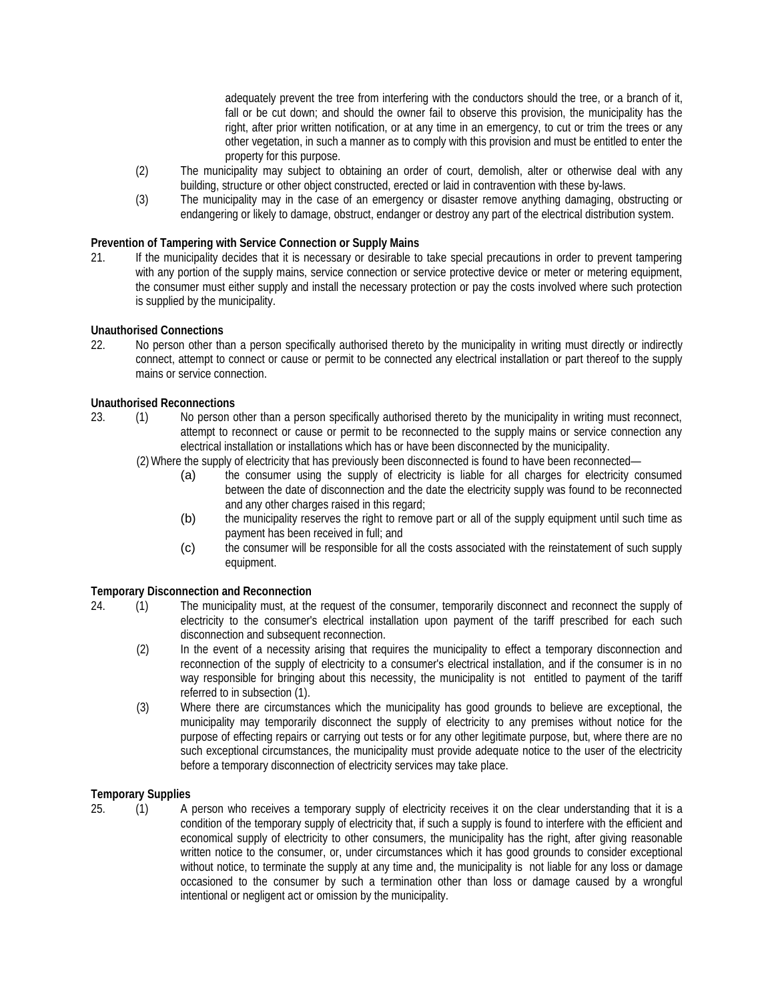adequately prevent the tree from interfering with the conductors should the tree, or a branch of it, fall or be cut down; and should the owner fail to observe this provision, the municipality has the right, after prior written notification, or at any time in an emergency, to cut or trim the trees or any other vegetation, in such a manner as to comply with this provision and must be entitled to enter the property for this purpose.

- (2) The municipality may subject to obtaining an order of court, demolish, alter or otherwise deal with any building, structure or other object constructed, erected or laid in contravention with these by-laws.
- (3) The municipality may in the case of an emergency or disaster remove anything damaging, obstructing or endangering or likely to damage, obstruct, endanger or destroy any part of the electrical distribution system.

## **Prevention of Tampering with Service Connection or Supply Mains**

21. If the municipality decides that it is necessary or desirable to take special precautions in order to prevent tampering with any portion of the supply mains, service connection or service protective device or meter or metering equipment, the consumer must either supply and install the necessary protection or pay the costs involved where such protection is supplied by the municipality.

#### **Unauthorised Connections**

22. No person other than a person specifically authorised thereto by the municipality in writing must directly or indirectly connect, attempt to connect or cause or permit to be connected any electrical installation or part thereof to the supply mains or service connection.

#### **Unauthorised Reconnections**

- 23. (1) No person other than a person specifically authorised thereto by the municipality in writing must reconnect, attempt to reconnect or cause or permit to be reconnected to the supply mains or service connection any electrical installation or installations which has or have been disconnected by the municipality.
	- (2)Where the supply of electricity that has previously been disconnected is found to have been reconnected—
		- (a) the consumer using the supply of electricity is liable for all charges for electricity consumed between the date of disconnection and the date the electricity supply was found to be reconnected and any other charges raised in this regard;
		- (b) the municipality reserves the right to remove part or all of the supply equipment until such time as payment has been received in full; and
		- (c) the consumer will be responsible for all the costs associated with the reinstatement of such supply equipment.

# **Temporary Disconnection and Reconnection**<br>24. (1) The municipality must, at the

- 24. (1) The municipality must, at the request of the consumer, temporarily disconnect and reconnect the supply of electricity to the consumer's electrical installation upon payment of the tariff prescribed for each such disconnection and subsequent reconnection.
	- (2) In the event of a necessity arising that requires the municipality to effect a temporary disconnection and reconnection of the supply of electricity to a consumer's electrical installation, and if the consumer is in no way responsible for bringing about this necessity, the municipality is not entitled to payment of the tariff referred to in subsection (1).
	- (3) Where there are circumstances which the municipality has good grounds to believe are exceptional, the municipality may temporarily disconnect the supply of electricity to any premises without notice for the purpose of effecting repairs or carrying out tests or for any other legitimate purpose, but, where there are no such exceptional circumstances, the municipality must provide adequate notice to the user of the electricity before a temporary disconnection of electricity services may take place.

#### **Temporary Supplies**

25. (1) A person who receives a temporary supply of electricity receives it on the clear understanding that it is a condition of the temporary supply of electricity that, if such a supply is found to interfere with the efficient and economical supply of electricity to other consumers, the municipality has the right, after giving reasonable written notice to the consumer, or, under circumstances which it has good grounds to consider exceptional without notice, to terminate the supply at any time and, the municipality is not liable for any loss or damage occasioned to the consumer by such a termination other than loss or damage caused by a wrongful intentional or negligent act or omission by the municipality.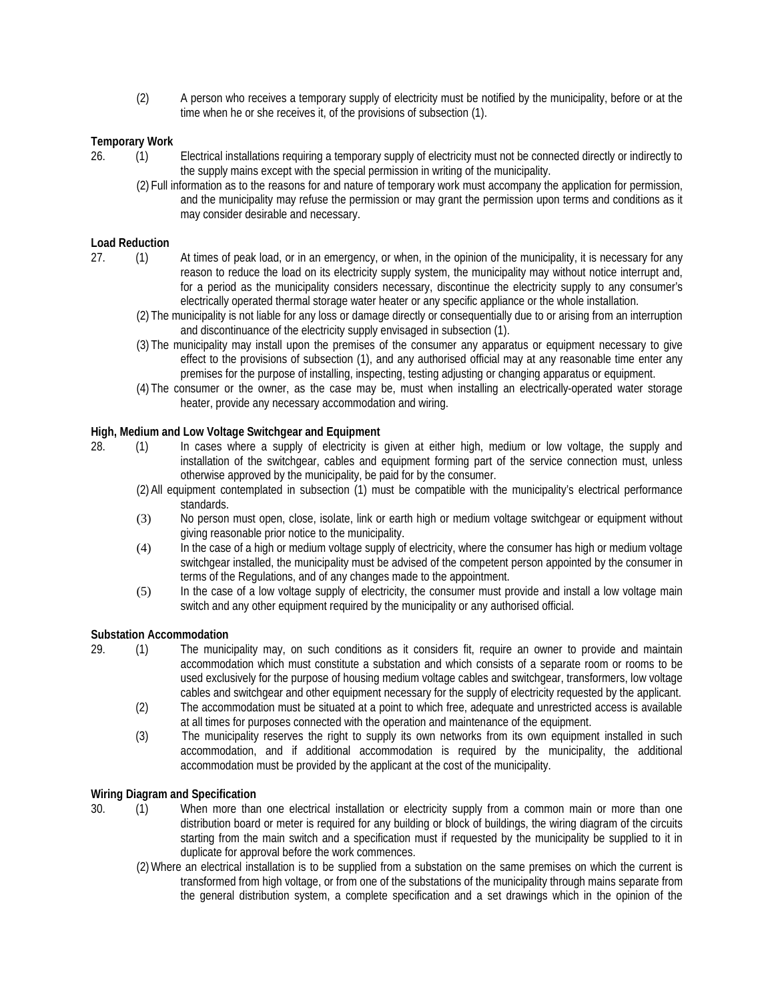(2) A person who receives a temporary supply of electricity must be notified by the municipality, before or at the time when he or she receives it, of the provisions of subsection (1).

## **Temporary Work**

- 26. (1) Electrical installations requiring a temporary supply of electricity must not be connected directly or indirectly to the supply mains except with the special permission in writing of the municipality.
	- (2) Full information as to the reasons for and nature of temporary work must accompany the application for permission, and the municipality may refuse the permission or may grant the permission upon terms and conditions as it may consider desirable and necessary.

## **Load Reduction**

- 
- 27. (1) At times of peak load, or in an emergency, or when, in the opinion of the municipality, it is necessary for any reason to reduce the load on its electricity supply system, the municipality may without notice interrupt and, for a period as the municipality considers necessary, discontinue the electricity supply to any consumer's electrically operated thermal storage water heater or any specific appliance or the whole installation.
	- (2) The municipality is not liable for any loss or damage directly or consequentially due to or arising from an interruption and discontinuance of the electricity supply envisaged in subsection (1).
	- (3) The municipality may install upon the premises of the consumer any apparatus or equipment necessary to give effect to the provisions of subsection (1), and any authorised official may at any reasonable time enter any premises for the purpose of installing, inspecting, testing adjusting or changing apparatus or equipment.
	- (4) The consumer or the owner, as the case may be, must when installing an electrically-operated water storage heater, provide any necessary accommodation and wiring.

## **High, Medium and Low Voltage Switchgear and Equipment**

- 28. (1) In cases where a supply of electricity is given at either high, medium or low voltage, the supply and installation of the switchgear, cables and equipment forming part of the service connection must, unless otherwise approved by the municipality, be paid for by the consumer.
	- (2) All equipment contemplated in subsection (1) must be compatible with the municipality's electrical performance standards.
	- (3) No person must open, close, isolate, link or earth high or medium voltage switchgear or equipment without giving reasonable prior notice to the municipality.
	- (4) In the case of a high or medium voltage supply of electricity, where the consumer has high or medium voltage switchgear installed, the municipality must be advised of the competent person appointed by the consumer in terms of the Regulations, and of any changes made to the appointment.
	- (5) In the case of a low voltage supply of electricity, the consumer must provide and install a low voltage main switch and any other equipment required by the municipality or any authorised official.

#### **Substation Accommodation**

- 29. (1) The municipality may, on such conditions as it considers fit, require an owner to provide and maintain accommodation which must constitute a substation and which consists of a separate room or rooms to be used exclusively for the purpose of housing medium voltage cables and switchgear, transformers, low voltage cables and switchgear and other equipment necessary for the supply of electricity requested by the applicant.
	- (2) The accommodation must be situated at a point to which free, adequate and unrestricted access is available at all times for purposes connected with the operation and maintenance of the equipment.
	- (3) The municipality reserves the right to supply its own networks from its own equipment installed in such accommodation, and if additional accommodation is required by the municipality, the additional accommodation must be provided by the applicant at the cost of the municipality.

#### **Wiring Diagram and Specification**

- 30. (1) When more than one electrical installation or electricity supply from a common main or more than one distribution board or meter is required for any building or block of buildings, the wiring diagram of the circuits starting from the main switch and a specification must if requested by the municipality be supplied to it in duplicate for approval before the work commences.
	- (2)Where an electrical installation is to be supplied from a substation on the same premises on which the current is transformed from high voltage, or from one of the substations of the municipality through mains separate from the general distribution system, a complete specification and a set drawings which in the opinion of the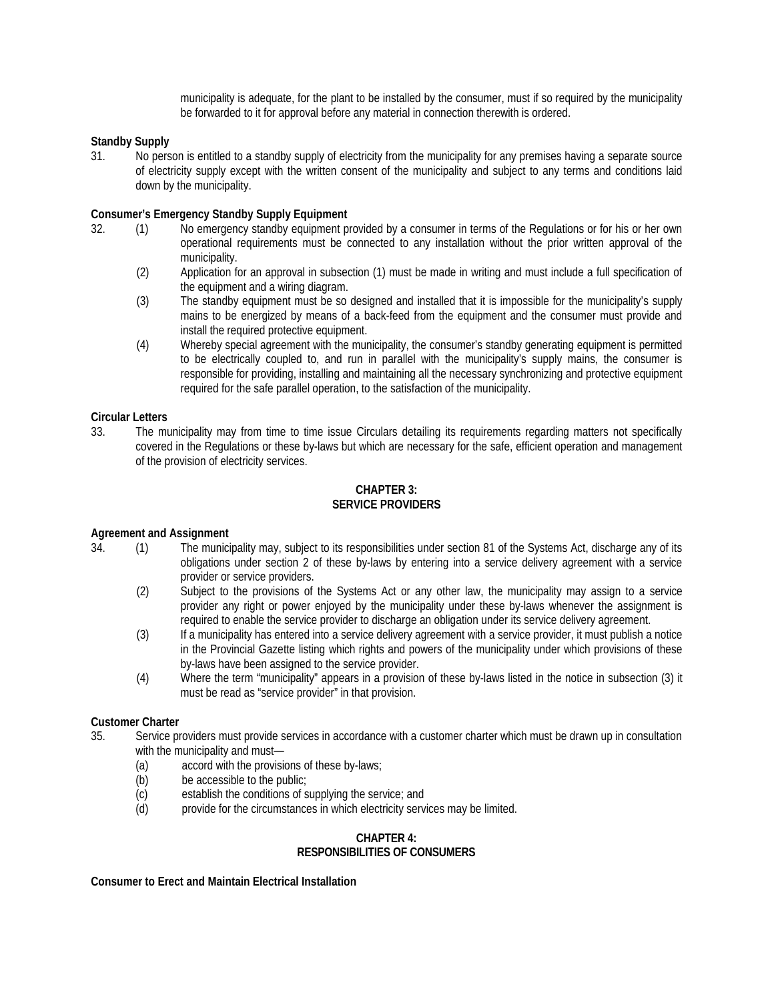municipality is adequate, for the plant to be installed by the consumer, must if so required by the municipality be forwarded to it for approval before any material in connection therewith is ordered.

## **Standby Supply**

31. No person is entitled to a standby supply of electricity from the municipality for any premises having a separate source of electricity supply except with the written consent of the municipality and subject to any terms and conditions laid down by the municipality.

#### **Consumer's Emergency Standby Supply Equipment**

- 32. (1) No emergency standby equipment provided by a consumer in terms of the Regulations or for his or her own operational requirements must be connected to any installation without the prior written approval of the municipality.
	- (2) Application for an approval in subsection (1) must be made in writing and must include a full specification of the equipment and a wiring diagram.
	- (3) The standby equipment must be so designed and installed that it is impossible for the municipality's supply mains to be energized by means of a back-feed from the equipment and the consumer must provide and install the required protective equipment.
	- (4) Whereby special agreement with the municipality, the consumer's standby generating equipment is permitted to be electrically coupled to, and run in parallel with the municipality's supply mains, the consumer is responsible for providing, installing and maintaining all the necessary synchronizing and protective equipment required for the safe parallel operation, to the satisfaction of the municipality.

#### **Circular Letters**

33. The municipality may from time to time issue Circulars detailing its requirements regarding matters not specifically covered in the Regulations or these by-laws but which are necessary for the safe, efficient operation and management of the provision of electricity services.

## **CHAPTER 3: SERVICE PROVIDERS**

#### **Agreement and Assignment**

- 34. (1) The municipality may, subject to its responsibilities under section 81 of the Systems Act, discharge any of its obligations under section 2 of these by-laws by entering into a service delivery agreement with a service provider or service providers.
	- (2) Subject to the provisions of the Systems Act or any other law, the municipality may assign to a service provider any right or power enjoyed by the municipality under these by-laws whenever the assignment is required to enable the service provider to discharge an obligation under its service delivery agreement.
	- (3) If a municipality has entered into a service delivery agreement with a service provider, it must publish a notice in the Provincial Gazette listing which rights and powers of the municipality under which provisions of these by-laws have been assigned to the service provider.
	- (4) Where the term "municipality" appears in a provision of these by-laws listed in the notice in subsection (3) it must be read as "service provider" in that provision.

#### **Customer Charter**

- 35. Service providers must provide services in accordance with a customer charter which must be drawn up in consultation with the municipality and must—
	- (a) accord with the provisions of these by-laws;<br>(b) be accessible to the public;
	- be accessible to the public;
	- (c) establish the conditions of supplying the service; and
	- (d) provide for the circumstances in which electricity services may be limited.

#### **CHAPTER 4: RESPONSIBILITIES OF CONSUMERS**

#### **Consumer to Erect and Maintain Electrical Installation**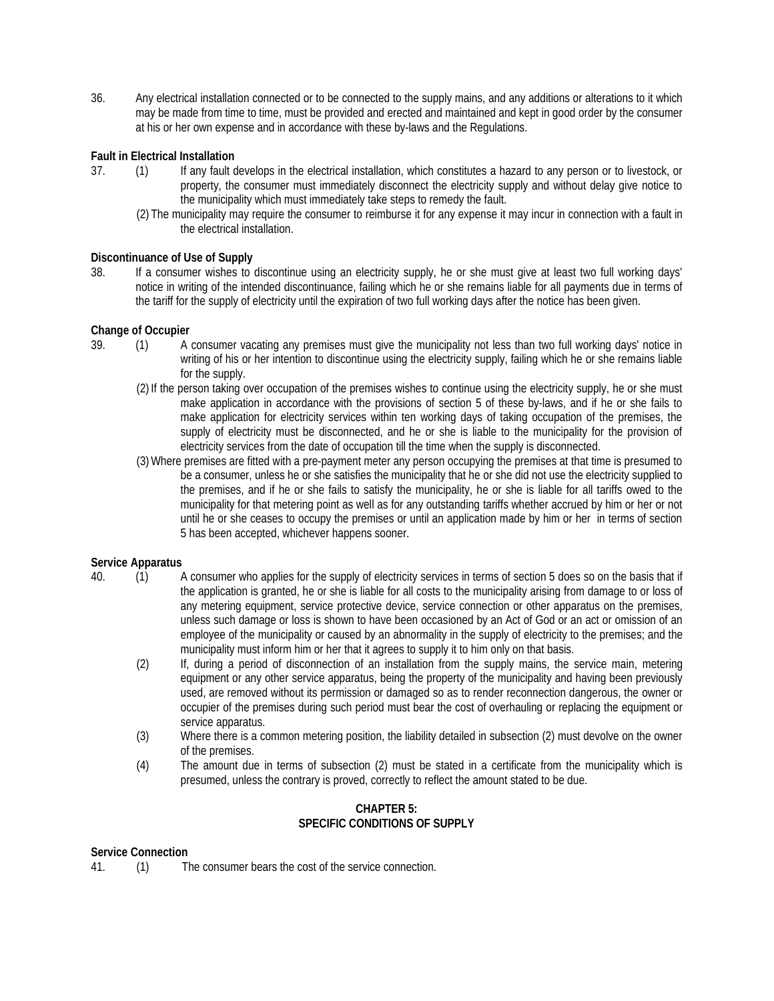36. Any electrical installation connected or to be connected to the supply mains, and any additions or alterations to it which may be made from time to time, must be provided and erected and maintained and kept in good order by the consumer at his or her own expense and in accordance with these by-laws and the Regulations.

## **Fault in Electrical Installation**

- 37. (1) If any fault develops in the electrical installation, which constitutes a hazard to any person or to livestock, or property, the consumer must immediately disconnect the electricity supply and without delay give notice to the municipality which must immediately take steps to remedy the fault.
	- (2) The municipality may require the consumer to reimburse it for any expense it may incur in connection with a fault in the electrical installation.

## **Discontinuance of Use of Supply**

38. If a consumer wishes to discontinue using an electricity supply, he or she must give at least two full working days' notice in writing of the intended discontinuance, failing which he or she remains liable for all payments due in terms of the tariff for the supply of electricity until the expiration of two full working days after the notice has been given.

## **Change of Occupier**

- 39. (1) A consumer vacating any premises must give the municipality not less than two full working days' notice in writing of his or her intention to discontinue using the electricity supply, failing which he or she remains liable for the supply.
	- (2) If the person taking over occupation of the premises wishes to continue using the electricity supply, he or she must make application in accordance with the provisions of section 5 of these by-laws, and if he or she fails to make application for electricity services within ten working days of taking occupation of the premises, the supply of electricity must be disconnected, and he or she is liable to the municipality for the provision of electricity services from the date of occupation till the time when the supply is disconnected.
	- (3)Where premises are fitted with a pre-payment meter any person occupying the premises at that time is presumed to be a consumer, unless he or she satisfies the municipality that he or she did not use the electricity supplied to the premises, and if he or she fails to satisfy the municipality, he or she is liable for all tariffs owed to the municipality for that metering point as well as for any outstanding tariffs whether accrued by him or her or not until he or she ceases to occupy the premises or until an application made by him or her in terms of section 5 has been accepted, whichever happens sooner.

#### **Service Apparatus**

- 40. (1) A consumer who applies for the supply of electricity services in terms of section 5 does so on the basis that if the application is granted, he or she is liable for all costs to the municipality arising from damage to or loss of any metering equipment, service protective device, service connection or other apparatus on the premises, unless such damage or loss is shown to have been occasioned by an Act of God or an act or omission of an employee of the municipality or caused by an abnormality in the supply of electricity to the premises; and the municipality must inform him or her that it agrees to supply it to him only on that basis.
	- (2) If, during a period of disconnection of an installation from the supply mains, the service main, metering equipment or any other service apparatus, being the property of the municipality and having been previously used, are removed without its permission or damaged so as to render reconnection dangerous, the owner or occupier of the premises during such period must bear the cost of overhauling or replacing the equipment or service apparatus.
	- (3) Where there is a common metering position, the liability detailed in subsection (2) must devolve on the owner of the premises.
	- (4) The amount due in terms of subsection (2) must be stated in a certificate from the municipality which is presumed, unless the contrary is proved, correctly to reflect the amount stated to be due.

#### **CHAPTER 5: SPECIFIC CONDITIONS OF SUPPLY**

#### **Service Connection**

41. (1) The consumer bears the cost of the service connection.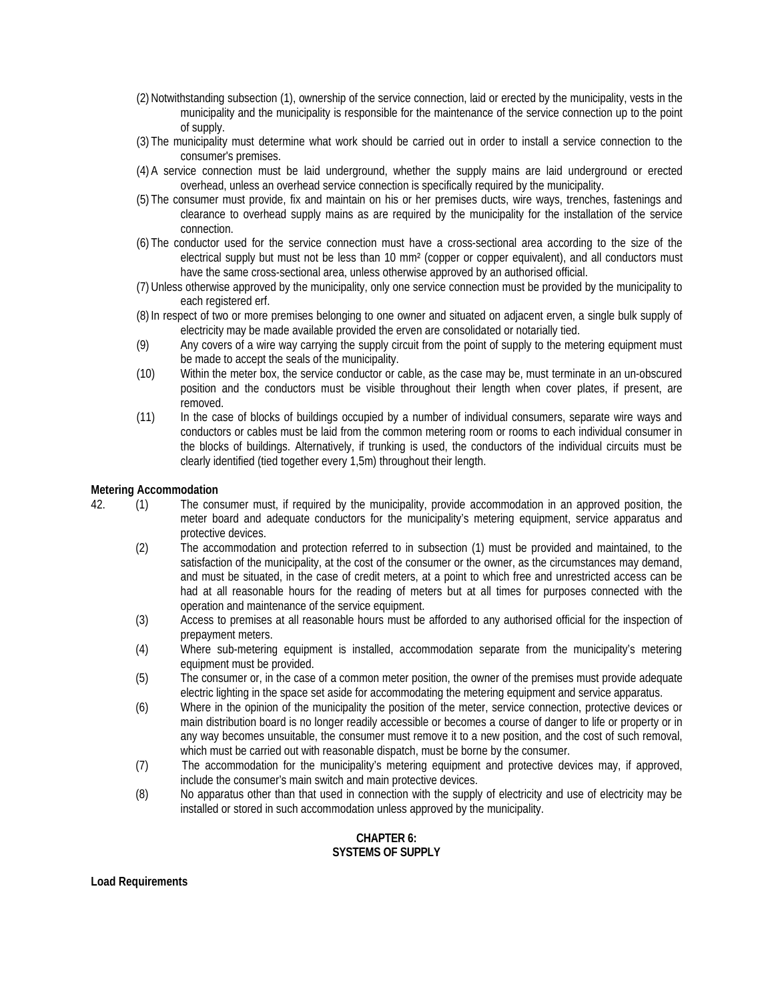- (2) Notwithstanding subsection (1), ownership of the service connection, laid or erected by the municipality, vests in the municipality and the municipality is responsible for the maintenance of the service connection up to the point of supply.
- (3) The municipality must determine what work should be carried out in order to install a service connection to the consumer's premises.
- (4) A service connection must be laid underground, whether the supply mains are laid underground or erected overhead, unless an overhead service connection is specifically required by the municipality.
- (5) The consumer must provide, fix and maintain on his or her premises ducts, wire ways, trenches, fastenings and clearance to overhead supply mains as are required by the municipality for the installation of the service connection.
- (6) The conductor used for the service connection must have a cross-sectional area according to the size of the electrical supply but must not be less than 10 mm² (copper or copper equivalent), and all conductors must have the same cross-sectional area, unless otherwise approved by an authorised official.
- (7) Unless otherwise approved by the municipality, only one service connection must be provided by the municipality to each registered erf.
- (8) In respect of two or more premises belonging to one owner and situated on adjacent erven, a single bulk supply of electricity may be made available provided the erven are consolidated or notarially tied.
- (9) Any covers of a wire way carrying the supply circuit from the point of supply to the metering equipment must be made to accept the seals of the municipality.
- (10) Within the meter box, the service conductor or cable, as the case may be, must terminate in an un-obscured position and the conductors must be visible throughout their length when cover plates, if present, are removed.
- (11) In the case of blocks of buildings occupied by a number of individual consumers, separate wire ways and conductors or cables must be laid from the common metering room or rooms to each individual consumer in the blocks of buildings. Alternatively, if trunking is used, the conductors of the individual circuits must be clearly identified (tied together every 1,5m) throughout their length.

#### **Metering Accommodation**

- 42. (1) The consumer must, if required by the municipality, provide accommodation in an approved position, the meter board and adequate conductors for the municipality's metering equipment, service apparatus and protective devices.
	- (2) The accommodation and protection referred to in subsection (1) must be provided and maintained, to the satisfaction of the municipality, at the cost of the consumer or the owner, as the circumstances may demand, and must be situated, in the case of credit meters, at a point to which free and unrestricted access can be had at all reasonable hours for the reading of meters but at all times for purposes connected with the operation and maintenance of the service equipment.
	- (3) Access to premises at all reasonable hours must be afforded to any authorised official for the inspection of prepayment meters.
	- (4) Where sub-metering equipment is installed, accommodation separate from the municipality's metering equipment must be provided.
	- (5) The consumer or, in the case of a common meter position, the owner of the premises must provide adequate electric lighting in the space set aside for accommodating the metering equipment and service apparatus.
	- (6) Where in the opinion of the municipality the position of the meter, service connection, protective devices or main distribution board is no longer readily accessible or becomes a course of danger to life or property or in any way becomes unsuitable, the consumer must remove it to a new position, and the cost of such removal, which must be carried out with reasonable dispatch, must be borne by the consumer.
	- (7) The accommodation for the municipality's metering equipment and protective devices may, if approved, include the consumer's main switch and main protective devices.
	- (8) No apparatus other than that used in connection with the supply of electricity and use of electricity may be installed or stored in such accommodation unless approved by the municipality.

## **CHAPTER 6: SYSTEMS OF SUPPLY**

**Load Requirements**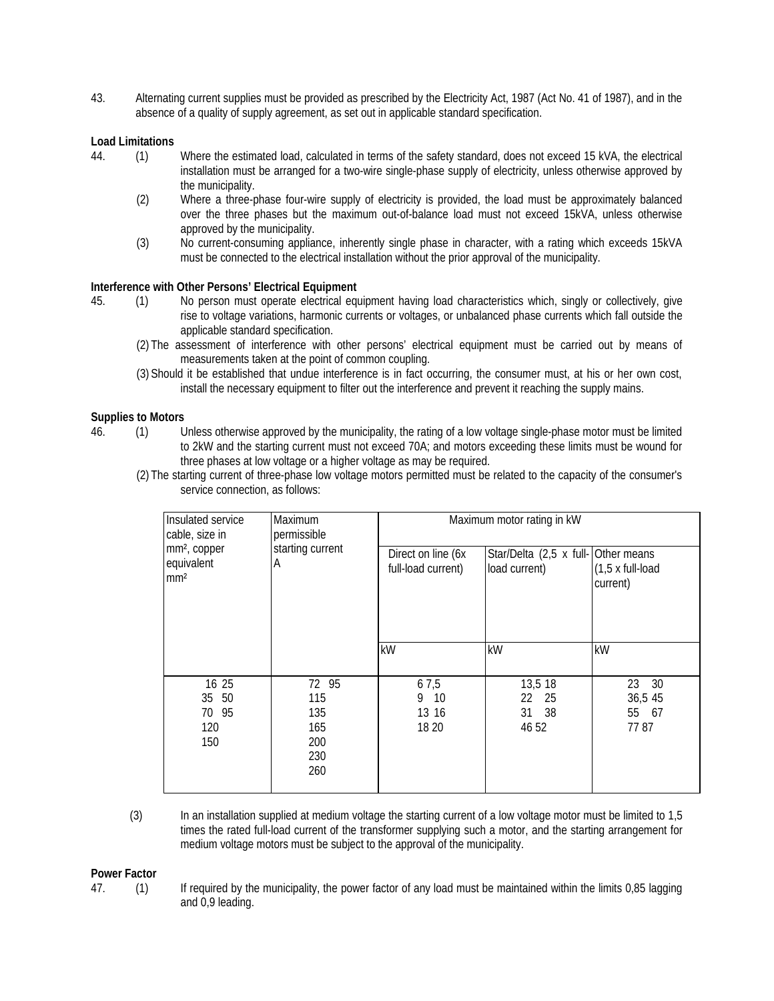43. Alternating current supplies must be provided as prescribed by the Electricity Act, 1987 (Act No. 41 of 1987), and in the absence of a quality of supply agreement, as set out in applicable standard specification.

## **Load Limitations**

- 44. (1) Where the estimated load, calculated in terms of the safety standard, does not exceed 15 kVA, the electrical installation must be arranged for a two-wire single-phase supply of electricity, unless otherwise approved by the municipality.
	- (2) Where a three-phase four-wire supply of electricity is provided, the load must be approximately balanced over the three phases but the maximum out-of-balance load must not exceed 15kVA, unless otherwise approved by the municipality.
	- (3) No current-consuming appliance, inherently single phase in character, with a rating which exceeds 15kVA must be connected to the electrical installation without the prior approval of the municipality.

#### **Interference with Other Persons' Electrical Equipment**

- 45. (1) No person must operate electrical equipment having load characteristics which, singly or collectively, give rise to voltage variations, harmonic currents or voltages, or unbalanced phase currents which fall outside the applicable standard specification.
	- (2) The assessment of interference with other persons' electrical equipment must be carried out by means of measurements taken at the point of common coupling.
	- (3) Should it be established that undue interference is in fact occurring, the consumer must, at his or her own cost, install the necessary equipment to filter out the interference and prevent it reaching the supply mains.

#### **Supplies to Motors**

- 46. (1) Unless otherwise approved by the municipality, the rating of a low voltage single-phase motor must be limited to 2kW and the starting current must not exceed 70A; and motors exceeding these limits must be wound for three phases at low voltage or a higher voltage as may be required.
	- (2) The starting current of three-phase low voltage motors permitted must be related to the capacity of the consumer's service connection, as follows:

| Insulated service<br>cable, size in<br>mm <sup>2</sup> , copper<br>equivalent<br>mm <sup>2</sup> | Maximum<br>permissible<br>starting current<br>A | Maximum motor rating in kW               |                                                      |                                             |
|--------------------------------------------------------------------------------------------------|-------------------------------------------------|------------------------------------------|------------------------------------------------------|---------------------------------------------|
|                                                                                                  |                                                 | Direct on line (6x<br>full-load current) | Star/Delta (2,5 x full- Other means<br>load current) | $(1,5 \times \text{full-load})$<br>current) |
|                                                                                                  |                                                 | kW                                       | kW                                                   | kW                                          |
| 16 25<br>35 50<br>-95<br>70<br>120<br>150                                                        | 72 95<br>115<br>135<br>165<br>200<br>230<br>260 | 67,5<br>9<br>10<br>13 16<br>18 20        | 13,5 18<br>22<br>- 25<br>38<br>31<br>46 52           | 23<br>30<br>36,5 45<br>55 67<br>7787        |

(3) In an installation supplied at medium voltage the starting current of a low voltage motor must be limited to 1,5 times the rated full-load current of the transformer supplying such a motor, and the starting arrangement for medium voltage motors must be subject to the approval of the municipality.

#### **Power Factor**

47. (1) If required by the municipality, the power factor of any load must be maintained within the limits 0,85 lagging and 0,9 leading.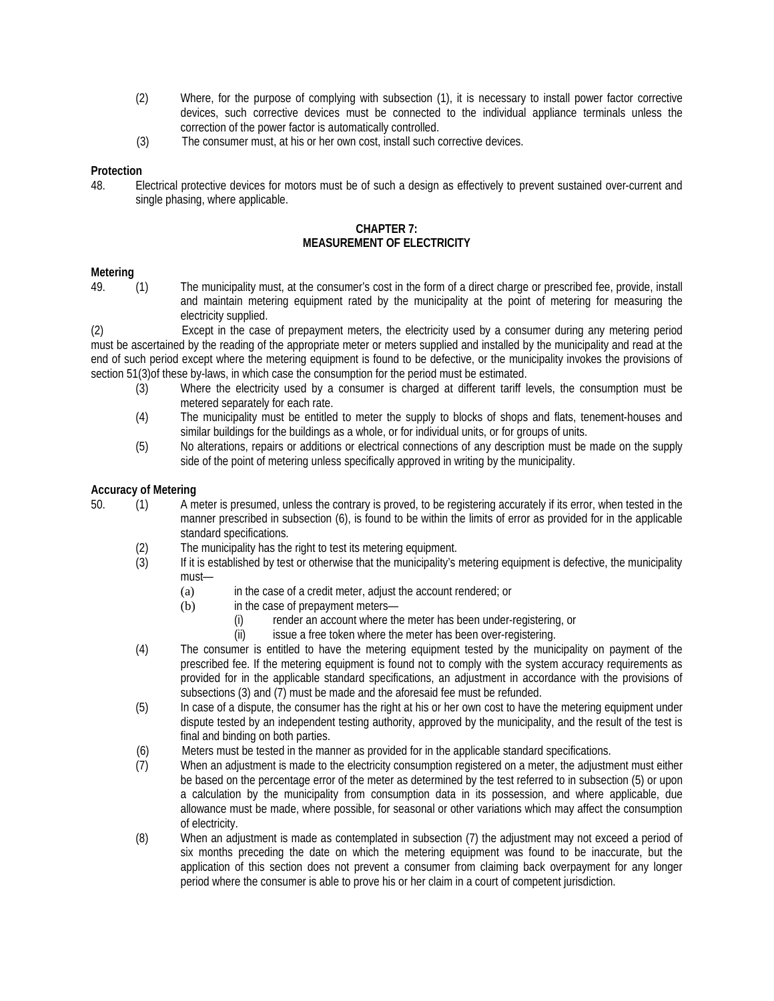- (2) Where, for the purpose of complying with subsection (1), it is necessary to install power factor corrective devices, such corrective devices must be connected to the individual appliance terminals unless the correction of the power factor is automatically controlled.
- (3) The consumer must, at his or her own cost, install such corrective devices.

## **Protection**

48. Electrical protective devices for motors must be of such a design as effectively to prevent sustained over-current and single phasing, where applicable.

## **CHAPTER 7: MEASUREMENT OF ELECTRICITY**

## **Metering**

49. (1) The municipality must, at the consumer's cost in the form of a direct charge or prescribed fee, provide, install and maintain metering equipment rated by the municipality at the point of metering for measuring the electricity supplied.

(2) Except in the case of prepayment meters, the electricity used by a consumer during any metering period must be ascertained by the reading of the appropriate meter or meters supplied and installed by the municipality and read at the end of such period except where the metering equipment is found to be defective, or the municipality invokes the provisions of section 51(3)of these by-laws, in which case the consumption for the period must be estimated.

- (3) Where the electricity used by a consumer is charged at different tariff levels, the consumption must be metered separately for each rate.
- (4) The municipality must be entitled to meter the supply to blocks of shops and flats, tenement-houses and similar buildings for the buildings as a whole, or for individual units, or for groups of units.
- (5) No alterations, repairs or additions or electrical connections of any description must be made on the supply side of the point of metering unless specifically approved in writing by the municipality.

## **Accuracy of Metering**

- 50. (1) A meter is presumed, unless the contrary is proved, to be registering accurately if its error, when tested in the manner prescribed in subsection (6), is found to be within the limits of error as provided for in the applicable standard specifications.
	- (2) The municipality has the right to test its metering equipment.<br>(3) If it is established by test or otherwise that the municipality's i
	- If it is established by test or otherwise that the municipality's metering equipment is defective, the municipality must—
		- (a) in the case of a credit meter, adjust the account rendered; or
		- (b) in the case of prepayment meters—
			- (i) render an account where the meter has been under-registering, or
			- (ii) issue a free token where the meter has been over-registering.
	- (4) The consumer is entitled to have the metering equipment tested by the municipality on payment of the prescribed fee. If the metering equipment is found not to comply with the system accuracy requirements as provided for in the applicable standard specifications, an adjustment in accordance with the provisions of subsections (3) and (7) must be made and the aforesaid fee must be refunded.
	- (5) In case of a dispute, the consumer has the right at his or her own cost to have the metering equipment under dispute tested by an independent testing authority, approved by the municipality, and the result of the test is final and binding on both parties.
	- (6) Meters must be tested in the manner as provided for in the applicable standard specifications.
	- (7) When an adjustment is made to the electricity consumption registered on a meter, the adjustment must either be based on the percentage error of the meter as determined by the test referred to in subsection (5) or upon a calculation by the municipality from consumption data in its possession, and where applicable, due allowance must be made, where possible, for seasonal or other variations which may affect the consumption of electricity.
	- (8) When an adjustment is made as contemplated in subsection (7) the adjustment may not exceed a period of six months preceding the date on which the metering equipment was found to be inaccurate, but the application of this section does not prevent a consumer from claiming back overpayment for any longer period where the consumer is able to prove his or her claim in a court of competent jurisdiction.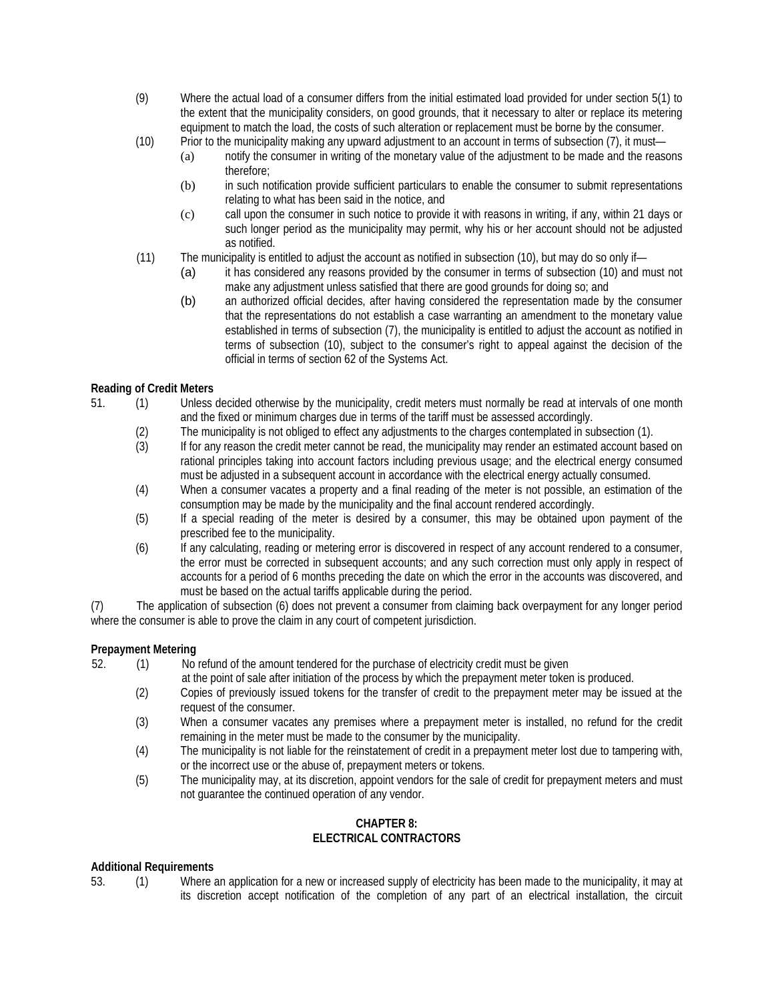- (9) Where the actual load of a consumer differs from the initial estimated load provided for under section 5(1) to the extent that the municipality considers, on good grounds, that it necessary to alter or replace its metering equipment to match the load, the costs of such alteration or replacement must be borne by the consumer.
- (10) Prior to the municipality making any upward adjustment to an account in terms of subsection (7), it must—
	- (a) notify the consumer in writing of the monetary value of the adjustment to be made and the reasons therefore;
	- (b) in such notification provide sufficient particulars to enable the consumer to submit representations relating to what has been said in the notice, and
	- (c) call upon the consumer in such notice to provide it with reasons in writing, if any, within 21 days or such longer period as the municipality may permit, why his or her account should not be adjusted as notified.
- (11) The municipality is entitled to adjust the account as notified in subsection (10), but may do so only if—
	- (a) it has considered any reasons provided by the consumer in terms of subsection (10) and must not make any adjustment unless satisfied that there are good grounds for doing so; and
	- (b) an authorized official decides, after having considered the representation made by the consumer that the representations do not establish a case warranting an amendment to the monetary value established in terms of subsection (7), the municipality is entitled to adjust the account as notified in terms of subsection (10), subject to the consumer's right to appeal against the decision of the official in terms of section 62 of the Systems Act.

# **Reading of Credit Meters**<br>51. (1) Unless

- 51. (1) Unless decided otherwise by the municipality, credit meters must normally be read at intervals of one month and the fixed or minimum charges due in terms of the tariff must be assessed accordingly.
	- (2) The municipality is not obliged to effect any adjustments to the charges contemplated in subsection (1).<br>(3) If for any reason the credit meter cannot be read, the municipality may render an estimated account base
	- If for any reason the credit meter cannot be read, the municipality may render an estimated account based on rational principles taking into account factors including previous usage; and the electrical energy consumed must be adjusted in a subsequent account in accordance with the electrical energy actually consumed.
	- (4) When a consumer vacates a property and a final reading of the meter is not possible, an estimation of the consumption may be made by the municipality and the final account rendered accordingly.
	- (5) If a special reading of the meter is desired by a consumer, this may be obtained upon payment of the prescribed fee to the municipality.
	- (6) If any calculating, reading or metering error is discovered in respect of any account rendered to a consumer, the error must be corrected in subsequent accounts; and any such correction must only apply in respect of accounts for a period of 6 months preceding the date on which the error in the accounts was discovered, and must be based on the actual tariffs applicable during the period.

(7) The application of subsection (6) does not prevent a consumer from claiming back overpayment for any longer period where the consumer is able to prove the claim in any court of competent jurisdiction.

#### **Prepayment Metering**

- 52. (1) No refund of the amount tendered for the purchase of electricity credit must be given
	- at the point of sale after initiation of the process by which the prepayment meter token is produced.
	- (2) Copies of previously issued tokens for the transfer of credit to the prepayment meter may be issued at the request of the consumer.
	- (3) When a consumer vacates any premises where a prepayment meter is installed, no refund for the credit remaining in the meter must be made to the consumer by the municipality.
	- (4) The municipality is not liable for the reinstatement of credit in a prepayment meter lost due to tampering with, or the incorrect use or the abuse of, prepayment meters or tokens.
	- (5) The municipality may, at its discretion, appoint vendors for the sale of credit for prepayment meters and must not guarantee the continued operation of any vendor.

#### **CHAPTER 8: ELECTRICAL CONTRACTORS**

#### **Additional Requirements**

53. (1) Where an application for a new or increased supply of electricity has been made to the municipality, it may at its discretion accept notification of the completion of any part of an electrical installation, the circuit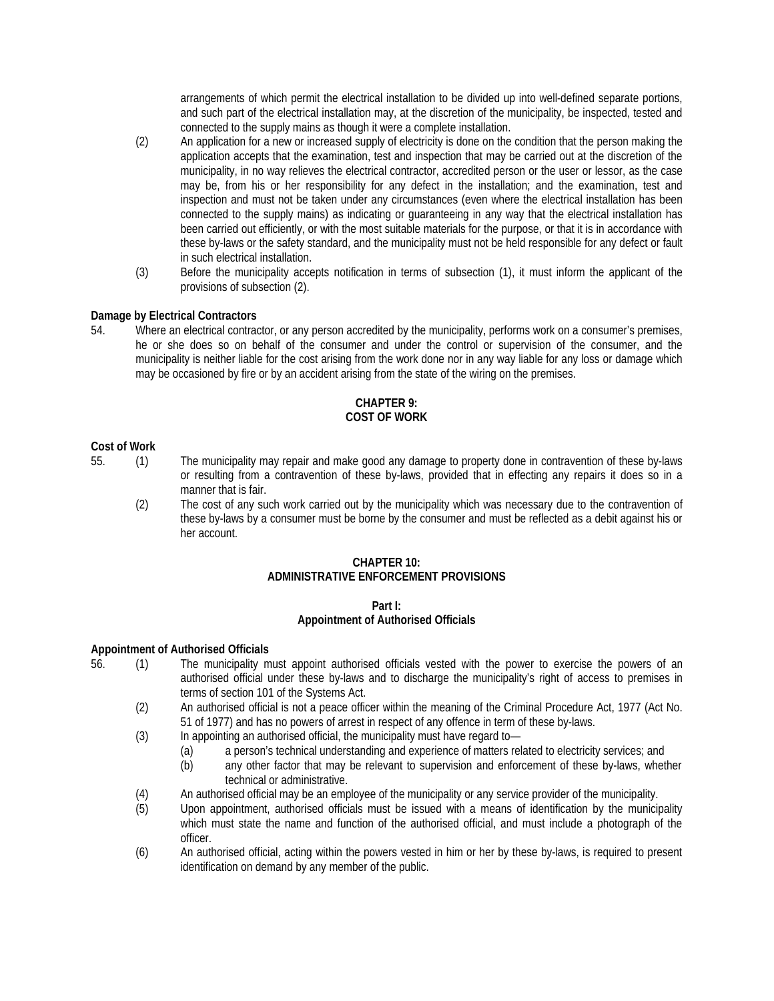arrangements of which permit the electrical installation to be divided up into well-defined separate portions, and such part of the electrical installation may, at the discretion of the municipality, be inspected, tested and connected to the supply mains as though it were a complete installation.

- (2) An application for a new or increased supply of electricity is done on the condition that the person making the application accepts that the examination, test and inspection that may be carried out at the discretion of the municipality, in no way relieves the electrical contractor, accredited person or the user or lessor, as the case may be, from his or her responsibility for any defect in the installation; and the examination, test and inspection and must not be taken under any circumstances (even where the electrical installation has been connected to the supply mains) as indicating or guaranteeing in any way that the electrical installation has been carried out efficiently, or with the most suitable materials for the purpose, or that it is in accordance with these by-laws or the safety standard, and the municipality must not be held responsible for any defect or fault in such electrical installation.
- (3) Before the municipality accepts notification in terms of subsection (1), it must inform the applicant of the provisions of subsection (2).

## **Damage by Electrical Contractors**

54. Where an electrical contractor, or any person accredited by the municipality, performs work on a consumer's premises, he or she does so on behalf of the consumer and under the control or supervision of the consumer, and the municipality is neither liable for the cost arising from the work done nor in any way liable for any loss or damage which may be occasioned by fire or by an accident arising from the state of the wiring on the premises.

# **CHAPTER 9: COST OF WORK**

## **Cost of Work**

- 55. (1) The municipality may repair and make good any damage to property done in contravention of these by-laws or resulting from a contravention of these by-laws, provided that in effecting any repairs it does so in a manner that is fair.
	- (2) The cost of any such work carried out by the municipality which was necessary due to the contravention of these by-laws by a consumer must be borne by the consumer and must be reflected as a debit against his or her account.

## **CHAPTER 10: ADMINISTRATIVE ENFORCEMENT PROVISIONS**

#### **Part I: Appointment of Authorised Officials**

#### **Appointment of Authorised Officials**

- 56. (1) The municipality must appoint authorised officials vested with the power to exercise the powers of an authorised official under these by-laws and to discharge the municipality's right of access to premises in terms of section 101 of the Systems Act.
	- (2) An authorised official is not a peace officer within the meaning of the Criminal Procedure Act, 1977 (Act No. 51 of 1977) and has no powers of arrest in respect of any offence in term of these by-laws.
	- (3) In appointing an authorised official, the municipality must have regard to—
		- (a) a person's technical understanding and experience of matters related to electricity services; and
		- (b) any other factor that may be relevant to supervision and enforcement of these by-laws, whether technical or administrative.
	- (4) An authorised official may be an employee of the municipality or any service provider of the municipality.
	- (5) Upon appointment, authorised officials must be issued with a means of identification by the municipality which must state the name and function of the authorised official, and must include a photograph of the officer.
	- (6) An authorised official, acting within the powers vested in him or her by these by-laws, is required to present identification on demand by any member of the public.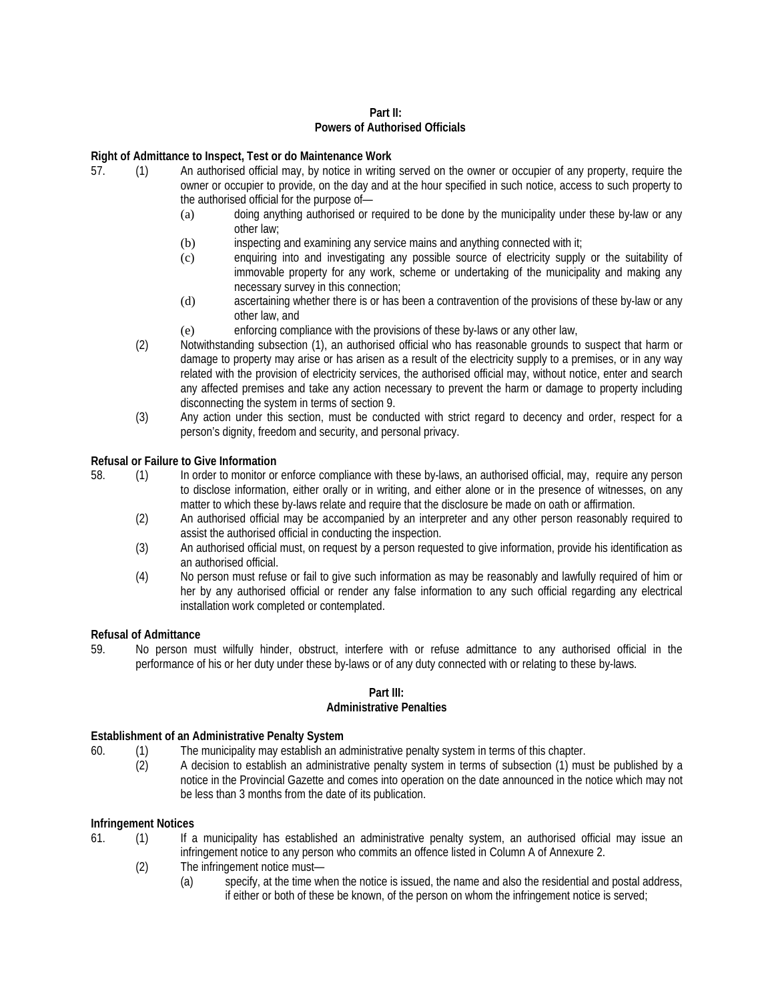## **Part II: Powers of Authorised Officials**

## **Right of Admittance to Inspect, Test or do Maintenance Work**

- 57. (1) An authorised official may, by notice in writing served on the owner or occupier of any property, require the owner or occupier to provide, on the day and at the hour specified in such notice, access to such property to the authorised official for the purpose of—
	- (a) doing anything authorised or required to be done by the municipality under these by-law or any other law;
	- (b) inspecting and examining any service mains and anything connected with it;
	- (c) enquiring into and investigating any possible source of electricity supply or the suitability of immovable property for any work, scheme or undertaking of the municipality and making any necessary survey in this connection;
	- (d) ascertaining whether there is or has been a contravention of the provisions of these by-law or any other law, and
	- (e) enforcing compliance with the provisions of these by-laws or any other law,
	- (2) Notwithstanding subsection (1), an authorised official who has reasonable grounds to suspect that harm or damage to property may arise or has arisen as a result of the electricity supply to a premises, or in any way related with the provision of electricity services, the authorised official may, without notice, enter and search any affected premises and take any action necessary to prevent the harm or damage to property including disconnecting the system in terms of section 9.
	- (3) Any action under this section, must be conducted with strict regard to decency and order, respect for a person's dignity, freedom and security, and personal privacy.

## **Refusal or Failure to Give Information**

- 58. (1) In order to monitor or enforce compliance with these by-laws, an authorised official, may, require any person to disclose information, either orally or in writing, and either alone or in the presence of witnesses, on any matter to which these by-laws relate and require that the disclosure be made on oath or affirmation.
	- (2) An authorised official may be accompanied by an interpreter and any other person reasonably required to assist the authorised official in conducting the inspection.
	- (3) An authorised official must, on request by a person requested to give information, provide his identification as an authorised official.
	- (4) No person must refuse or fail to give such information as may be reasonably and lawfully required of him or her by any authorised official or render any false information to any such official regarding any electrical installation work completed or contemplated.

#### **Refusal of Admittance**

59. No person must wilfully hinder, obstruct, interfere with or refuse admittance to any authorised official in the performance of his or her duty under these by-laws or of any duty connected with or relating to these by-laws.

# **Part III:**

#### **Administrative Penalties**

#### **Establishment of an Administrative Penalty System**

- 60. (1) The municipality may establish an administrative penalty system in terms of this chapter.
	- (2) A decision to establish an administrative penalty system in terms of subsection (1) must be published by a notice in the Provincial Gazette and comes into operation on the date announced in the notice which may not be less than 3 months from the date of its publication.

#### **Infringement Notices**

- 61. (1) If a municipality has established an administrative penalty system, an authorised official may issue an infringement notice to any person who commits an offence listed in Column A of Annexure 2.
	- (2) The infringement notice must—
		- (a) specify, at the time when the notice is issued, the name and also the residential and postal address, if either or both of these be known, of the person on whom the infringement notice is served;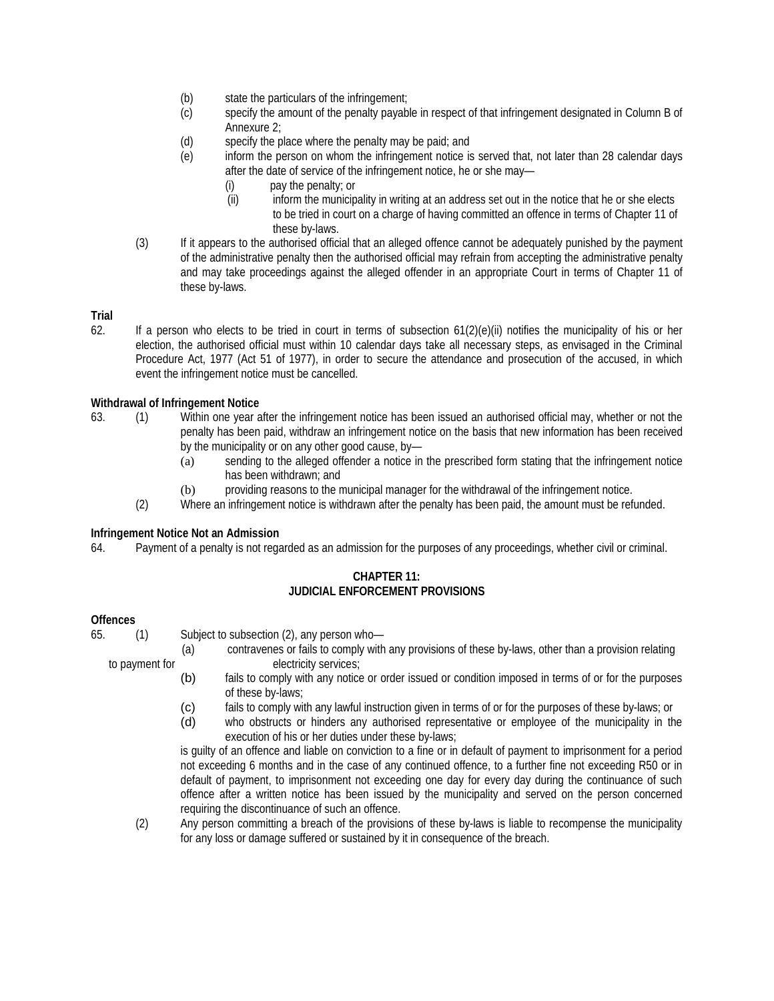- (b) state the particulars of the infringement;
- (c) specify the amount of the penalty payable in respect of that infringement designated in Column B of Annexure 2;
- (d) specify the place where the penalty may be paid; and  $(e)$  inform the person on whom the infringement notice is
- inform the person on whom the infringement notice is served that, not later than 28 calendar days after the date of service of the infringement notice, he or she may—
	- (i) pay the penalty; or
	- (ii) inform the municipality in writing at an address set out in the notice that he or she elects to be tried in court on a charge of having committed an offence in terms of Chapter 11 of these by-laws.
- (3) If it appears to the authorised official that an alleged offence cannot be adequately punished by the payment of the administrative penalty then the authorised official may refrain from accepting the administrative penalty and may take proceedings against the alleged offender in an appropriate Court in terms of Chapter 11 of these by-laws.

# **Trial**

62. If a person who elects to be tried in court in terms of subsection  $61(2)(e)(ii)$  notifies the municipality of his or her election, the authorised official must within 10 calendar days take all necessary steps, as envisaged in the Criminal Procedure Act, 1977 (Act 51 of 1977), in order to secure the attendance and prosecution of the accused, in which event the infringement notice must be cancelled.

## **Withdrawal of Infringement Notice**

- 63. (1) Within one year after the infringement notice has been issued an authorised official may, whether or not the penalty has been paid, withdraw an infringement notice on the basis that new information has been received by the municipality or on any other good cause, by—
	- (a) sending to the alleged offender a notice in the prescribed form stating that the infringement notice has been withdrawn; and
	- (b) providing reasons to the municipal manager for the withdrawal of the infringement notice.
	- (2) Where an infringement notice is withdrawn after the penalty has been paid, the amount must be refunded.

#### **Infringement Notice Not an Admission**

64. Payment of a penalty is not regarded as an admission for the purposes of any proceedings, whether civil or criminal.

#### **CHAPTER 11: JUDICIAL ENFORCEMENT PROVISIONS**

#### **Offences**

65. (1) Subject to subsection (2), any person who—

- (a) contravenes or fails to comply with any provisions of these by-laws, other than a provision relating to payment for electricity services;
	- (b) fails to comply with any notice or order issued or condition imposed in terms of or for the purposes of these by-laws;
	- (c) fails to comply with any lawful instruction given in terms of or for the purposes of these by-laws; or
	- (d) who obstructs or hinders any authorised representative or employee of the municipality in the execution of his or her duties under these by-laws;

is guilty of an offence and liable on conviction to a fine or in default of payment to imprisonment for a period not exceeding 6 months and in the case of any continued offence, to a further fine not exceeding R50 or in default of payment, to imprisonment not exceeding one day for every day during the continuance of such offence after a written notice has been issued by the municipality and served on the person concerned requiring the discontinuance of such an offence.

(2) Any person committing a breach of the provisions of these by-laws is liable to recompense the municipality for any loss or damage suffered or sustained by it in consequence of the breach.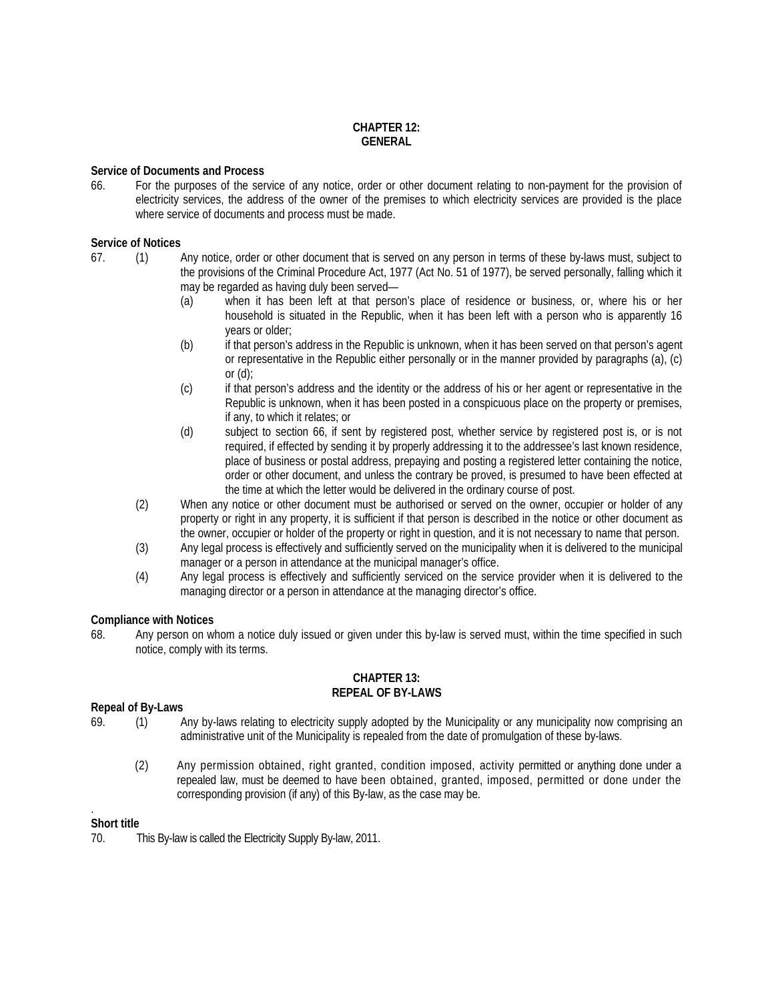#### **CHAPTER 12: GENERAL**

#### **Service of Documents and Process**

66. For the purposes of the service of any notice, order or other document relating to non-payment for the provision of electricity services, the address of the owner of the premises to which electricity services are provided is the place where service of documents and process must be made.

#### **Service of Notices**

- 
- 67. (1) Any notice, order or other document that is served on any person in terms of these by-laws must, subject to the provisions of the Criminal Procedure Act, 1977 (Act No. 51 of 1977), be served personally, falling which it may be regarded as having duly been served—
	- (a) when it has been left at that person's place of residence or business, or, where his or her household is situated in the Republic, when it has been left with a person who is apparently 16 years or older;
	- (b) if that person's address in the Republic is unknown, when it has been served on that person's agent or representative in the Republic either personally or in the manner provided by paragraphs (a), (c) or  $(d)$ :
	- (c) if that person's address and the identity or the address of his or her agent or representative in the Republic is unknown, when it has been posted in a conspicuous place on the property or premises, if any, to which it relates; or
	- (d) subject to section 66, if sent by registered post, whether service by registered post is, or is not required, if effected by sending it by properly addressing it to the addressee's last known residence, place of business or postal address, prepaying and posting a registered letter containing the notice, order or other document, and unless the contrary be proved, is presumed to have been effected at the time at which the letter would be delivered in the ordinary course of post.
	- (2) When any notice or other document must be authorised or served on the owner, occupier or holder of any property or right in any property, it is sufficient if that person is described in the notice or other document as the owner, occupier or holder of the property or right in question, and it is not necessary to name that person.
	- (3) Any legal process is effectively and sufficiently served on the municipality when it is delivered to the municipal manager or a person in attendance at the municipal manager's office.
	- (4) Any legal process is effectively and sufficiently serviced on the service provider when it is delivered to the managing director or a person in attendance at the managing director's office.

#### **Compliance with Notices**

68. Any person on whom a notice duly issued or given under this by-law is served must, within the time specified in such notice, comply with its terms.

#### **CHAPTER 13: REPEAL OF BY-LAWS**

#### **Repeal of By-Laws**

- 69. (1) Any by-laws relating to electricity supply adopted by the Municipality or any municipality now comprising an administrative unit of the Municipality is repealed from the date of promulgation of these by-laws.
	- (2) Any permission obtained, right granted, condition imposed, activity permitted or anything done under a repealed law, must be deemed to have been obtained, granted, imposed, permitted or done under the corresponding provision (if any) of this By-law, as the case may be.

#### . **Short title**

70. This By-law is called the Electricity Supply By-law, 2011.